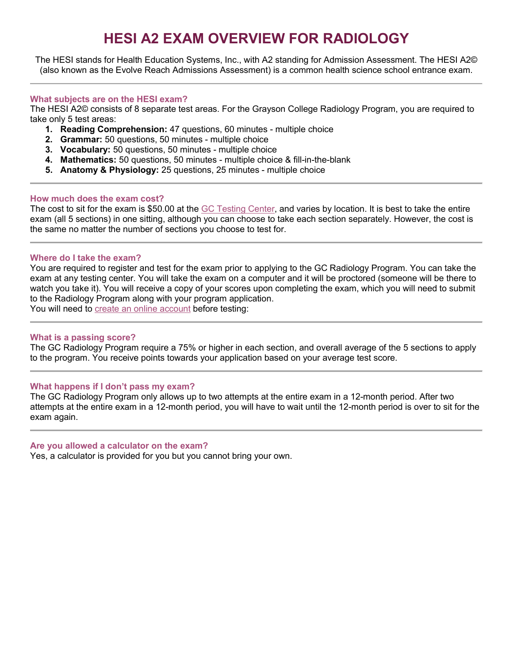# **HESI A2 EXAM OVERVIEW FOR RADIOLOGY**

The HESI stands for Health Education Systems, Inc., with A2 standing for Admission Assessment. The HESI A2© (also known as the Evolve Reach Admissions Assessment) is a common health science school entrance exam.

### **What subjects are on the HESI exam?**

The HESI A2© consists of 8 separate test areas. For the Grayson College Radiology Program, you are required to take only 5 test areas:

- **1. Reading Comprehension:** 47 questions, 60 minutes multiple choice
- **2. Grammar:** 50 questions, 50 minutes multiple choice
- **3. Vocabulary:** 50 questions, 50 minutes multiple choice
- **4. Mathematics:** 50 questions, 50 minutes multiple choice & fill-in-the-blank
- **5. Anatomy & Physiology:** 25 questions, 25 minutes multiple choice

### **How much does the exam cost?**

The cost to sit for the exam is \$50.00 at the [GC Testing](https://www.grayson.edu/gettingstarted/testing-center/hesi-admissions-exam.html) Center, and varies by location. It is best to take the entire exam (all 5 sections) in one sitting, although you can choose to take each section separately. However, the cost is the same no matter the number of sections you choose to test for.

## **Where do I take the exam?**

You are required to register and test for the exam prior to applying to the GC Radiology Program. You can take the exam at any testing center. You will take the exam on a computer and it will be proctored (someone will be there to watch you take it). You will receive a copy of your scores upon completing the exam, which you will need to submit to the Radiology Program along with your program application.

You will need to [create an online account](https://evolve.elsevier.com/cs/) before testing:

### **What is a passing score?**

The GC Radiology Program require a 75% or higher in each section, and overall average of the 5 sections to apply to the program. You receive points towards your application based on your average test score.

## **What happens if I don't pass my exam?**

The GC Radiology Program only allows up to two attempts at the entire exam in a 12-month period. After two attempts at the entire exam in a 12-month period, you will have to wait until the 12-month period is over to sit for the exam again.

### **Are you allowed a calculator on the exam?**

Yes, a calculator is provided for you but you cannot bring your own.